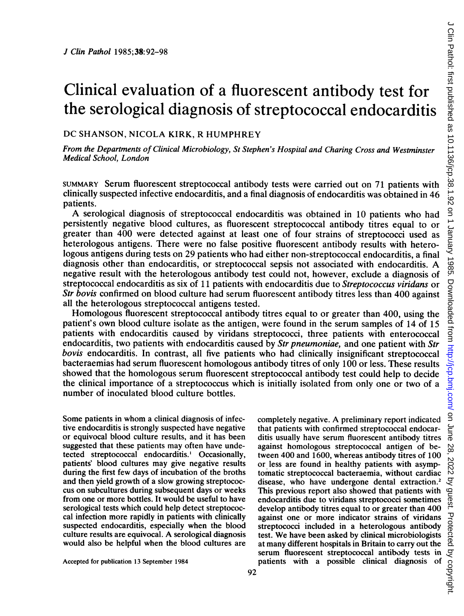# Clinical evaluation of a fluorescent antibody test for the serological diagnosis of streptococcal endocarditis

## DC SHANSON, NICOLA KIRK, R HUMPHREY

From the Departments of Clinical Microbiology, St Stephen's Hospital and Charing Cross and Westminster Medical School, London

SUMMARY Serum fluorescent streptococcal antibody tests were carried out on 71 patients with clinically suspected infective endocarditis, and a final diagnosis of endocarditis was obtained in 46 patients.

A serological diagnosis of streptococcal endocarditis was obtained in <sup>10</sup> patients who had persistently negative blood cultures, as fluorescent streptococcal antibody titres equal to or greater than 400 were detected against at least one of four strains of streptococci used as heterologous antigens. There were no false positive fluorescent antibody results with heterologous antigens during tests on 29 patients who had either non-streptococcal endocarditis, a final diagnosis other than endocarditis, or streptococcal sepsis not associated with endocarditis. A negative result with the heterologous antibody test could not, however, exclude a diagnosis of streptococcal endocarditis as six of 11 patients with endocarditis due to Streptococcus viridans or Str bovis confirmed on blood culture had serum fluorescent antibody titres less than 400 against all the heterologous streptococcal antigens tested.

Homologous fluorescent streptococcal antibody titres equal to or greater than 400, using the patient's own blood culture isolate as the antigen, were found in the serum samples of 14 of 15 patients with endocarditis caused by viridans streptococci, three patients with enterococcal endocarditis, two patients with endocarditis caused by Str pneumoniae, and one patient with Str bovis endocarditis. In contrast, all five patients who had clinically insignificant streptococcal bacteraemias had serum fluorescent homologous antibody titres of only 100 or less. These results showed that the homologous serum fluorescent streptococcal antibody test could help to decide the clinical importance of a streptococcus which is initially isolated from only one or two of a number of inoculated blood culture bottles.

Some patients in whom <sup>a</sup> clinical diagnosis of infective endocarditis is strongly suspected have negative or equivocal blood culture results, and it has been suggested that these patients may often have undetected streptococcal endocarditis.' Occasionally, patients' blood cultures may give negative results during the first few days of incubation of the broths and then yield growth of a slow growing streptococcus on subcultures during subsequent days or weeks from one or more bottles. It would be useful to have serological tests which could help detect streptococcal infection more rapidly in patients with clinically suspected endocarditis, especially when the blood culture results are equivocal. A serological diagnosis would also be helpful when the blood cultures are

that patients with confirmed streptococcal endocarditis usually have serum fluorescent antibody titres against homologous streptococcal antigen of between 400 and 1600, whereas antibody titres of 100 or less are found in healthy patients with asymptomatic streptococcal bacteraemia, without cardiac disease, who have undergone dental extraction.<sup>2</sup> This previous report also showed that patients with endocarditis due to viridans streptococci sometimes develop antibody titres equal to or greater than 400 against one or more indicator strains of viridans streptococci included in a heterologous antibody test. We have been asked by clinical microbiologists at many different hospitals in Britain to carry out the serum fluorescent streptococcal antibody tests in patients with a possible clinical diagnosis of

completely negative. A preliminary report indicated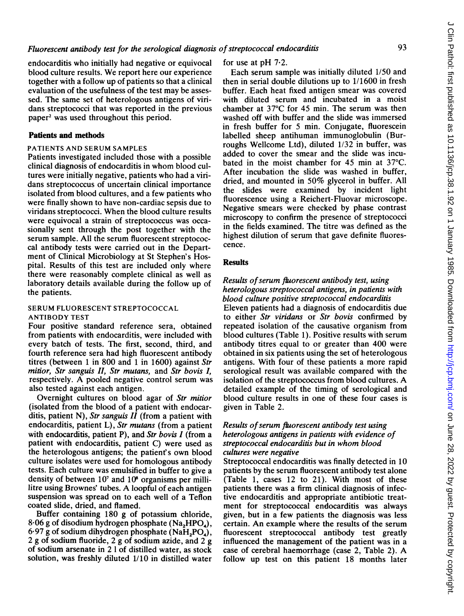endocarditis who initially had negative or equivocal blood culture results. We report here our experience together with a follow up of patients so that a clinical evaluation of the usefulness of the test may be assessed. The same set of heterologous antigens of viridans streptococci that was reported in the previous paper2 was used throughout this period.

#### Patients and methods

#### PATIENTS AND SERUM SAMPLES

Patients investigated included those with a possible clinical diagnosis of endocarditis in whom blood cultures were initially negative, patients who had a viridans streptococcus of uncertain clinical importance isolated from blood cultures, and a few patients who were finally shown to have non-cardiac sepsis due to viridans streptococci. When the blood culture results were equivocal a strain of streptococcus was occasionally sent through the post together with the serum sample. All the serum fluorescent streptococcal antibody tests were carried out in the Department of Clinical Microbiology at St Stephen's Hospital. Results of this test are included only where there were reasonably complete clinical as well as laboratory details available during the follow up of the patients.

#### SERUM FLUORESCENT STREPTOCOCCAL ANTIBODY TEST

Four positive standard reference sera, obtained from patients with endocarditis, were included with every batch of tests. The first, second, third, and fourth reference sera had high fluorescent antibody titres (between <sup>1</sup> in 800 and <sup>1</sup> in 1600) against Str mitior, Str sanguis II, Str mutans, and Str bovis I, respectively. A pooled negative control serum was also tested against each antigen.

Overnight cultures on blood agar of Str mitior (isolated from the blood of a patient with endocarditis, patient N), Str sanguis  $II$  (from a patient with endocarditis, patient L), Str mutans (from a patient with endocarditis, patient P), and Str bovis  $I$  (from a patient with endocarditis, patient C) were used as the heterologous antigens; the patient's own blood culture isolates were used for homologous antibody tests. Each culture was emulsified in buffer to give a density of between  $10<sup>7</sup>$  and  $10<sup>8</sup>$  organisms per millilitre using Brownes' tubes. A loopful of each antigen suspension was spread on to each well of a Teflon coated slide, dried, and flamed.

Buffer containing 180 g of potassium chloride,  $8.06$  g of disodium hydrogen phosphate (Na<sub>2</sub>HPO<sub>4</sub>),  $6.97$  g of sodium dihydrogen phosphate (NaH<sub>2</sub>PO<sub>4</sub>), <sup>2</sup> <sup>g</sup> of sodium fluoride, <sup>2</sup> <sup>g</sup> of sodium azide, and 2 g of sodium arsenate in 2 <sup>1</sup> of distilled water, as stock solution, was freshly diluted 1/10 in distilled water

#### for use at pH 7-2.

Each serum sample was initially diluted 1/50 and then in serial double dilutions up to 1/1600 in fresh buffer. Each heat fixed antigen smear was covered with diluted serum and incubated in a moist chamber at 37°C for 45 min. The serum was then washed off with buffer and the slide was immersed in fresh buffer for 5 min. Conjugate, fluorescein labelled sheep antihuman immunoglobulin (Burroughs Wellcome Ltd), diluted 1/32 in buffer, was added to cover the smear and the slide was incubated in the moist chamber for 45 min at 37°C. After incubation the slide was washed in buffer, dried, and mounted in 50% glycerol in buffer. All the slides were examined by incident light fluorescence using a Reichert-Fluovar microscope. Negative smears were checked by phase contrast microscopy to confirm the presence of streptococci in the fields examined. The titre was defined as the highest dilution of serum that gave definite fluorescence.

#### **Results**

#### Results of serum fluorescent antibody test, using heterologous streptococcal antigens, in patients with blood culture positive streptococcal endocarditis Eleven patients had a diagnosis of endocarditis due to either Str viridans or Str bovis confirmed by repeated isolation of the causative organism from blood cultures (Table 1). Positive results with serum antibody titres equal to or greater than 400 were obtained in six patients using the set of heterologous antigens. With four of these patients <sup>a</sup> more rapid serological result was available compared with the isolation of the streptococcus from blood cultures. A detailed example of the timing of serological and blood culture results in one of these four cases is given in Table 2.

#### Results of serum fluorescent antibody test using heterologous antigens in patients with evidence of streptococcal endocarditis but in whom blood cultures were negative

Streptococcal endocarditis was finally detected in 10 patients by the serum fluorescent antibody test alone (Table 1, cases 12 to 21). With most of these patients there was a firm clinical diagnosis of infective endocarditis and appropriate antibiotic treatment for streptococcal endocarditis was always given, but in a few patients the diagnosis was less certain. An example where the results of the serum fluorescent streptococcal antibody test greatly influenced the management of the patient was in a case of cerebral haemorrhage (case 2, Table 2). A follow up test on this patient 18 months later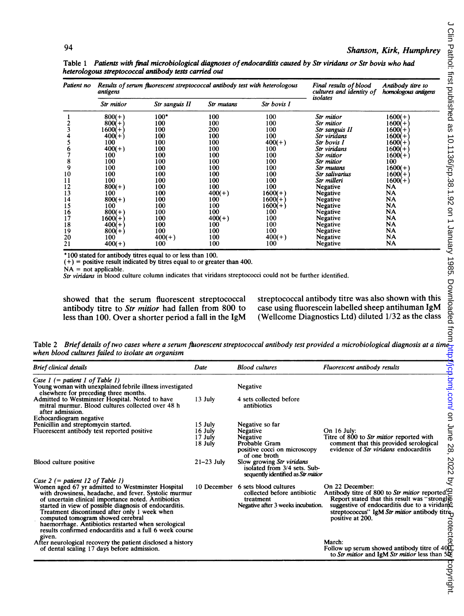| Patient no | antigens   | Results of serum fluorescent streptococcal antibody test with heterologous | Final results of blood<br>cultures and identity of | Antibody titre to<br>homologous antigens |                |           |
|------------|------------|----------------------------------------------------------------------------|----------------------------------------------------|------------------------------------------|----------------|-----------|
|            | Str mitior | Str sanguis II                                                             | Str mutans                                         | Str bovis I                              | isolates       |           |
|            | $800(+)$   | $100*$                                                                     | 100                                                | 100                                      | Str mitior     | $1600(+)$ |
|            | $800(+)$   | 100                                                                        | 100                                                | 100                                      | Str mitior     | 1600(+    |
|            | 1600(+`    | 100                                                                        | 200                                                | 100                                      | Str sanguis II | 1600(+    |
|            | $400(+)$   | 100                                                                        | 100                                                | 100                                      | Str viridans   | 1600(+    |
|            | 100        | 100                                                                        | 100                                                | $400(+)$                                 | Str bovis I    | 1600(+    |
| o          | $400(+)$   | 100                                                                        | 100                                                | 100                                      | Str viridans   | 1600(+    |
|            | 100        | 100                                                                        | 100                                                | 100                                      | Str mitior     | $1600(+)$ |
| 8          | 100        | 100                                                                        | 100                                                | 100                                      | Str mitior     | 100       |
| 9          | 100        | 100                                                                        | 100                                                | 100                                      | Str mutans     | $1600(+)$ |
| 10         | 100        | 100                                                                        | 100                                                | 100                                      | Str salivarius | 1600(+`   |
| 11         | 100        | 100                                                                        | 100                                                | 100                                      | Str milleri    | $1600(+)$ |
| 12         | $800(+)$   | 100                                                                        | 100                                                | 100                                      | Negative       | NA        |
| 13         | 100        | 100                                                                        | $400(+)$                                           | $1600(+)$                                | Negative       | NA        |
| 14         | $800(+)$   | 100                                                                        | 100                                                | 1600(+)                                  | Negative       | NA        |
| 15         | 100        | 100                                                                        | 100                                                | 1600(+)                                  | Negative       | NA        |
| 16         | $800(+)$   | 100                                                                        | 100                                                | 100                                      | Negative       | NA        |
| 17         | $1600(+)$  | 100                                                                        | $400(+)$                                           | 100                                      | Negative       | NA        |
| 18         | $400(+)$   | 100                                                                        | 100                                                | 100                                      | Negative       | NA        |
| 19         | $800(+)$   | 100                                                                        | 100                                                | 100                                      | Negative       | NA        |
| 20         | 100        | $400(+)$                                                                   | 100                                                | $400(+)$                                 | Negative       | <b>NA</b> |
| 21         | $400(+)$   | 100                                                                        | 100                                                | 100                                      | Negative       | NA        |

Table 1 Patients with final microbiological diagnoses of endocarditis caused by Str viridans or Str bovis who had heterologous streptococcal antibody tests carried out

\* 100 stated for antibody titres equal to or less than 100.

 $(+)$  = positive result indicated by titres equal to or greater than 400.

 $NA =$  not applicable.

 $S_{tr}$  viridans in blood culture column indicates that viridans streptococci could not be further identified.

showed that the serum fluorescent streptococcal antibody titre to Str mitior had fallen from 800 to antibody titre to Str mitior had fallen from 800 to less than 100. Over a shorter period <sup>a</sup> fall in the IgM streptococcal antibody titre was also shown with this case using fluorescein labelled sheep antihuman IgM case using fluorescein labelled sheep antihuman IgM (Wellcome Diagnostics Ltd) diluted 1/32 as the class

Table 2 Brief details of two cases where a serum fluorescent streptococcal antibody test provided a microbiological diagnosis at a time when blood cultures failed to isolate an organism

| <b>Brief clinical details</b>                                                                                                           | Date         | <b>Blood cultures</b>                                                                           | Fluorescent antibody results                                                                                                  |
|-----------------------------------------------------------------------------------------------------------------------------------------|--------------|-------------------------------------------------------------------------------------------------|-------------------------------------------------------------------------------------------------------------------------------|
| Case $1$ (= patient 1 of Table 1)<br>Young woman with unexplained febrile illness investigated<br>elsewhere for preceding three months. |              | Negative                                                                                        | /lch.bmg.com/                                                                                                                 |
| Admitted to Westminster Hospital. Noted to have<br>mitral murmur. Blood cultures collected over 48 h<br>after admission.                | 13 July      | 4 sets collected before<br>antibiotics                                                          |                                                                                                                               |
| Echocardiogram negative                                                                                                                 |              |                                                                                                 | $\mathsf{S}$                                                                                                                  |
| Penicillin and streptomycin started.                                                                                                    | 15 July      | Negative so far                                                                                 |                                                                                                                               |
| Fluorescent antibody test reported positive                                                                                             | 16 July      | Negative                                                                                        | June<br>On $16$ July:                                                                                                         |
|                                                                                                                                         | 17 July      | Negative                                                                                        | Titre of 800 to Str mitior reported with                                                                                      |
|                                                                                                                                         | 18 July      | Probable Gram                                                                                   | comment that this provided serological                                                                                        |
|                                                                                                                                         |              | positive cocci on microscopy                                                                    | 28,<br>evidence of <i>Str viridans</i> endocarditis                                                                           |
|                                                                                                                                         |              | of one broth                                                                                    |                                                                                                                               |
| Blood culture positive                                                                                                                  | $21-23$ July | Slow growing Str viridans<br>isolated from 3/4 sets. Sub-<br>sequently identified as Str mition | 2022                                                                                                                          |
| Case 2 $(=$ patient 12 of Table 1)                                                                                                      |              |                                                                                                 | g                                                                                                                             |
| Women aged 67 yr admitted to Westminster Hospital                                                                                       |              | 10 December 6 sets blood cultures                                                               | On 22 December:                                                                                                               |
| with drowsiness, headache, and fever. Systolic murmur<br>of uncertain clinical importance noted. Antibiotics                            |              | collected before antibiotic<br>treatment                                                        | Antibody titre of 800 to Str mitior reported. <sup><math>\Omega</math></sup><br>Report stated that this result was "strongly" |
| started in view of possible diagnosis of endocarditis.                                                                                  |              | Negative after 3 weeks incubation.                                                              | suggestive of endocarditis due to a viridang?                                                                                 |
| Treatment discontinued after only 1 week when<br>computed tomogram showed cerebral                                                      |              |                                                                                                 | streptococcus" IgM Str mitior antibody titre.                                                                                 |
| haemorrhage. Antibiotics restarted when serological                                                                                     |              |                                                                                                 | positive at 200.                                                                                                              |
| results confirmed endocarditis and a full 6 week course                                                                                 |              |                                                                                                 | otecte                                                                                                                        |
| given.                                                                                                                                  |              |                                                                                                 |                                                                                                                               |
| After neurological recovery the patient disclosed a history                                                                             |              |                                                                                                 | March:                                                                                                                        |
| of dental scaling 17 days before admission.                                                                                             |              |                                                                                                 | Follow up serum showed antibody titre of $40o$<br>to Str mitior and IgM Str mitior less than 50%                              |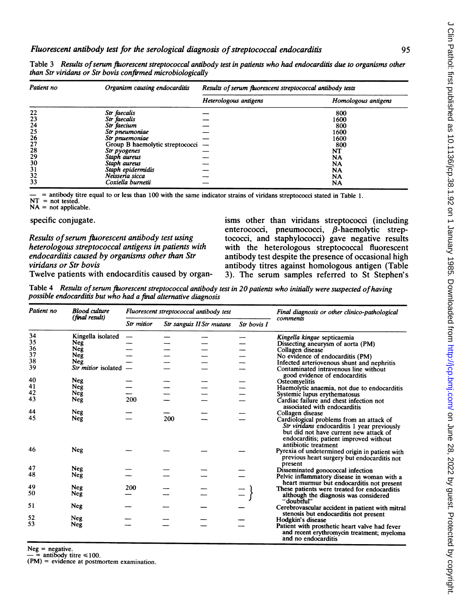| Patient no      | Organism causing endocarditis   | Results of serum fluorescent streptococcal antibody tests |                     |  |  |
|-----------------|---------------------------------|-----------------------------------------------------------|---------------------|--|--|
|                 |                                 | Heterologous antigens                                     | Homologous antigens |  |  |
|                 | Str faecalis                    |                                                           | 800                 |  |  |
| $\frac{22}{23}$ | Str faecalis                    |                                                           | 1600                |  |  |
| 24              | Str faecium                     |                                                           | 800                 |  |  |
| 25              | Str pneumoniae                  |                                                           | 1600                |  |  |
| 26              | Str pnuemoniae                  |                                                           | 1600                |  |  |
| 27              | Group B haemolytic streptococci |                                                           | 800                 |  |  |
| 28              | Str pyogenes                    |                                                           | NT                  |  |  |
| 29              | Staph aureus                    |                                                           | NA                  |  |  |
| 30              | Staph aureus                    |                                                           | NA                  |  |  |
| 31              | Staph epidermidis               |                                                           | NA                  |  |  |
| 32              | Neisseria sicca                 |                                                           | NA                  |  |  |
| 33              | Coxiella burnetii               |                                                           | NA                  |  |  |

Table 3 Results of serum fluorescent streptococcal antibody test in patients who had endocarditis due to organisms other than Str viridans or Str bovis confirmed microbiologically

- <sup>=</sup> antibody titre equal to or less than <sup>100</sup> with the same indicator strains of viridans streptococci stated in Table 1.  $NT = not tested.$ <br> $NA = not applied$ 

 $=$  not applicable.

specific conjugate.

Results of serum fluorescent antibody test using heterologous streptococcal antigens in patients with endocarditis caused by organisms other than Str viridans or Str bovis

isms other than viridans streptococci (including enterococci, pneumococci,  $\beta$ -haemolytic streptococci, and staphylococci) gave negative results with the heterologous streptococcal fluorescent antibody test despite the presence of occasional high antibody titres against homologous antigen (Table 3). The serum samples referred to St Stephen's

Twelve patients with endocarditis caused by organ-

Table 4 Results of serum fluorescent streptococcal antibody test in 20 patients who initially were suspected of having possible endocarditis but who had a final alternative diagnosis

| Patient no | <b>Blood culture</b><br>(final result) | Fluorescent streptococcal antibody test |     |                           | Final diagnosis or other clinico-pathological |                                                                                                                                                                                                     |  |
|------------|----------------------------------------|-----------------------------------------|-----|---------------------------|-----------------------------------------------|-----------------------------------------------------------------------------------------------------------------------------------------------------------------------------------------------------|--|
|            |                                        | Str mitior                              |     | Str sanguis II Str mutans |                                               | comments                                                                                                                                                                                            |  |
| 34         | Kingella isolated                      |                                         |     |                           |                                               | Kingella kingae septicaemia                                                                                                                                                                         |  |
| 35         | Neg                                    |                                         |     |                           |                                               | Dissecting aneurysm of aorta (PM)                                                                                                                                                                   |  |
| 36         | Neg                                    |                                         |     |                           |                                               | Collagen disease                                                                                                                                                                                    |  |
| 37         | Neg                                    |                                         |     |                           |                                               | No evidence of endocarditis (PM)                                                                                                                                                                    |  |
| 38         | Neg                                    |                                         |     |                           |                                               | Infected arteriovenous shunt and nephritis                                                                                                                                                          |  |
| 39         | Str mitior isolated -                  |                                         |     |                           |                                               | Contaminated intravenous line without<br>good evidence of endocarditis                                                                                                                              |  |
| 40         | Neg                                    |                                         |     |                           |                                               | Osteomyelitis                                                                                                                                                                                       |  |
| 41         | Neg                                    |                                         |     |                           |                                               | Haemolytic anaemia, not due to endocarditis                                                                                                                                                         |  |
| 42         | Neg                                    |                                         |     |                           |                                               | Systemic lupus erythematosus                                                                                                                                                                        |  |
| 43         | Neg                                    | 200                                     |     |                           |                                               | Cardiac failure and chest infection not<br>associated with endocarditis                                                                                                                             |  |
| 44         | Neg                                    |                                         |     |                           |                                               | Collagen disease                                                                                                                                                                                    |  |
| 45         | Neg                                    |                                         | 200 |                           |                                               | Cardiological problems from an attack of<br>Str viridans endocarditis 1 year previously<br>but did not have current new attack of<br>endocarditis; patient improved without<br>antibiotic treatment |  |
| 46         | Neg                                    |                                         |     |                           |                                               | Pyrexia of undetermined origin in patient with<br>previous heart surgery but endocarditis not<br>present                                                                                            |  |
| 47         | Neg                                    |                                         |     |                           |                                               | Disseminated gonococcal infection                                                                                                                                                                   |  |
| 48         | Neg                                    |                                         |     |                           |                                               | Pelvic inflammatory disease in woman with a<br>heart murmur but endocarditis not present                                                                                                            |  |
| 49         | <b>Neg</b>                             | 200                                     |     |                           |                                               | These patients were treated for endocarditis                                                                                                                                                        |  |
| 50         | Neg                                    |                                         |     |                           |                                               | although the diagnosis was considered<br>"doubtful"                                                                                                                                                 |  |
| 51         | Neg                                    |                                         |     |                           |                                               | Cerebrovascular accident in patient with mitral<br>stenosis but endocarditis not present                                                                                                            |  |
| 52         | Neg                                    |                                         |     |                           |                                               | Hodgkin's disease                                                                                                                                                                                   |  |
| 53         | Neg                                    |                                         |     |                           |                                               | Patient with prosthetic heart valve had fever<br>and recent erythromycin treatment; myeloma<br>and no endocarditis                                                                                  |  |

 $Neg = negative.$ 

antibody titre  $\leq 100$ .

(PM) = evidence at postmortem examination.

 $\epsilon$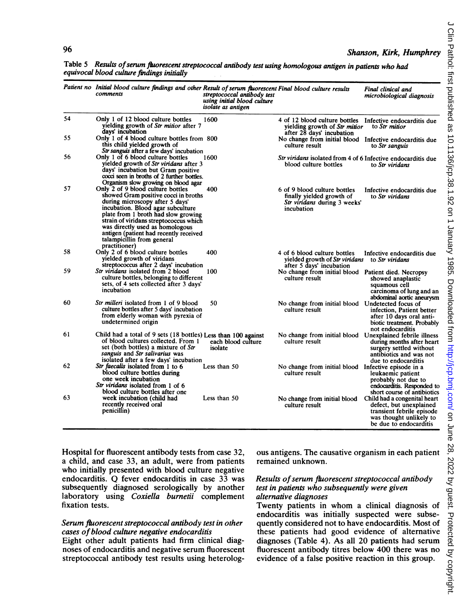|    | Patient no Initial blood culture findings and other Result of serum fluorescent Final blood culture results<br>comments                                                                                                                                                                                                                                        | streptococcal antibody test<br>using initial blood culture<br>isolate as antigen |                                                                                                                        | Final clinical and<br>microbiological diagnosis                                                           |
|----|----------------------------------------------------------------------------------------------------------------------------------------------------------------------------------------------------------------------------------------------------------------------------------------------------------------------------------------------------------------|----------------------------------------------------------------------------------|------------------------------------------------------------------------------------------------------------------------|-----------------------------------------------------------------------------------------------------------|
| 54 | Only 1 of 12 blood culture bottles<br>yielding growth of Str mitior after 7<br>days' incubation                                                                                                                                                                                                                                                                | 1600                                                                             | 4 of 12 blood culture bottles Infective endocarditis due<br>yielding growth of Str mitior<br>after 28 days' incubation | to Str mitior                                                                                             |
| 55 | Only 1 of 4 blood culture bottles from 800<br>this child yielded growth of<br>Str sanguis after a few days' incubation                                                                                                                                                                                                                                         |                                                                                  | No change from initial blood Infective endocarditis due<br>culture result                                              | to Str sanguis                                                                                            |
| 56 | Only 1 of 6 blood culture bottles<br>yielded growth of Str viridans after 3<br>days' incubation but Gram positive<br>cocci seen in broths of 2 further bottles.<br>Organism slow growing on blood agar                                                                                                                                                         | 1600                                                                             | Str viridans isolated from 4 of 6 Infective endocarditis due<br>blood culture bottles                                  | to Str viridans                                                                                           |
| 57 | Only 2 of 9 blood culture bottles<br>showed Gram positive cocci in broths<br>during microscopy after 5 days'<br>incubation. Blood agar subculture<br>plate from 1 broth had slow growing<br>strain of viridans streptococcus which<br>was directly used as homologous<br>antigen (patient had recently received<br>talampicillin from general<br>practitioner) | 400                                                                              | 6 of 9 blood culture bottles<br>finally yielded growth of<br>Str viridans during 3 weeks'<br>incubation                | Infective endocarditis due<br>to Str viridans                                                             |
| 58 | Only 2 of 6 blood culture bottles<br>yielded growth of viridans<br>streptococcus after 2 days' incubation                                                                                                                                                                                                                                                      | 400                                                                              | 4 of 6 blood culture bottles<br>yielded growth of Str viridans<br>after 5 days' incubation                             | Infective endocarditis due<br>to Str viridans                                                             |
| 59 | Str viridans isolated from 2 blood<br>culture bottles, belonging to different<br>sets, of 4 sets collected after 3 days'<br>incubation                                                                                                                                                                                                                         | 100                                                                              | No change from initial blood Patient died. Necropsy<br>culture result                                                  | showed anaplastic<br>squamous cell<br>carcinoma of lung and an<br>abdominal aortic aneurysm               |
| 60 | <i>Str milleri</i> isolated from 1 of 9 blood<br>culture bottles after 5 days' incubation<br>from elderly woman with pyrexia of<br>undetermined origin                                                                                                                                                                                                         | 50                                                                               | No change from initial blood Undetected focus of<br>culture result                                                     | infection. Patient better<br>after 10 days oral anti-<br>biotic treatment. Probably<br>not endocarditis   |
| 61 | Child had a total of 9 sets (18 bottles) Less than 100 against<br>of blood cultures collected. From 1<br>set (both bottles) a mixture of Str<br>sanguis and Str salivarius was<br>isolated after a few days' incubation                                                                                                                                        | each blood culture<br>isolate                                                    | No change from initial blood Unexplained febrile illness<br>culture result                                             | during months after heart<br>surgery settled without<br>antibiotics and was not<br>due to endocarditis    |
| 62 | Str faecalis isolated from 1 to 6<br>blood culture bottles during<br>one week incubation<br>Str viridans isolated from 1 of 6<br>blood culture bottles after one                                                                                                                                                                                               | Less than 50                                                                     | No change from initial blood Infective episode in a<br>culture result                                                  | leukaemic patient<br>probably not due to<br>endocarditis. Responded to<br>short course of antibiotics     |
| 63 | week incubation (child had<br>recently received oral<br>penicillin)                                                                                                                                                                                                                                                                                            | Less than 50                                                                     | No change from initial blood Child had a congenital heart<br>culture result                                            | defect, but unexplained<br>transient febrile episode<br>was thought unlikely to<br>be due to endocarditis |

Table 5 Results of serum fluorescent streptococcal antibody test using homologous antigen in patients who had equivocal blood culture findings initially

Hospital for fluorescent antibody tests from case 32, a child, and case 33, an adult, were from patients who initially presented with blood culture negative endocarditis. Q fever endocarditis in case  $3\overline{3}$  was subsequently diagnosed serologically by another laboratory using Coxiella burnetii complement fixation tests.

#### Serum fluorescent streptococcal antibody test in other cases ofblood culture negative endocarditis

Eight other adult patients had firm clinical diagnoses of endocarditis and negative serum fluorescent streptococcal antibody test results using heterologous antigens. The causative organism in each patient remained unknown.

#### Results of serum fluorescent streptococcal antibody test in patients who subsequently were given alternative diagnoses

Twenty patients in whom <sup>a</sup> clinical diagnosis of endocarditis was initially suspected were subsequently considered not to have endocarditis. Most of these patients had good evidence of alternative diagnoses (Table 4). As all 20 patients had serum fluorescent antibody titres below 400 there was no evidence of a false positive reaction in this group.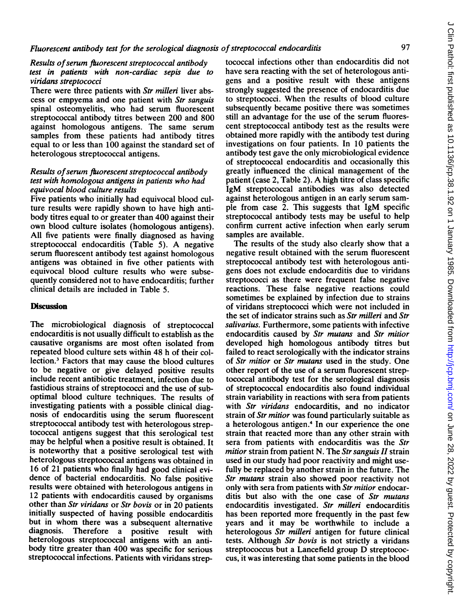### Results of serum fluorescent streptococcal antibody test in patients with non-cardiac sepis due to viridans streptococci

There were three patients with Str milleri liver abscess or empyema and one patient with Str sanguis spinal osteomyelitis, who had serum fluorescent streptococcal antibody titres between 200 and 800 against homologous antigens. The same serum samples from these patients had antibody titres equal to or less than 100 against the standard set of heterologous streptococcal antigens.

### Results of serum fluorescent streptococcal antibody test with homologous antigens in patients who had equivocal blood culture results

Five patients who initially had equivocal blood culture results were rapidly shown to have high antibody titres equal to or greater than 400 against their own blood culture isolates (homologous antigens). All five patients were finally diagnosed as having streptococcal endocarditis (Table 5). A negative serum fluorescent antibody test against homologous antigens was obtained in five other patients with equivocal blood culture results who were subsequently considered not to have endocarditis; further clinical details are included in Table 5.

#### **Discussion**

The microbiological diagnosis of streptococcal endocarditis is not usually difficult to establish as the causative organisms are most often isolated from repeated blood culture sets within 48 h of their collection.3 Factors that may cause the blood cultures to be negative or give delayed positive results include recent antibiotic treatment, infection due to fastidious strains of streptococci and the use of suboptimal blood culture techniques. The results of investigating patients with a possible clinical diagnosis of endocarditis using the serum fluorescent streptococcal antibody test with heterologous streptococcal antigens suggest that this serological test may be helpful when a positive result is obtained. It is noteworthy that a positive serological test with heterologous streptococcal antigens was obtained in 16 of 21 patients who finally had good clinical evidence of bacterial endocarditis. No false positive results were obtained with heterologous antigens in 12 patients with endocarditis caused by organisms other than Str viridans or Str bovis or in 20 patients initially suspected of having possible endocarditis but in whom there was <sup>a</sup> subsequent alternative diagnosis. Therefore a positive result with heterologous streptococcal antigens with an antibody titre greater than 400 was specific for serious streptococcal infections. Patients with viridans strep-

tococcal infections other than endocarditis did not have sera reacting with the set of heterologous antigens and a positive result with these antigens strongly suggested the presence of endocarditis due to streptococci. When the results of blood culture subsequently became positive there was sometimes still an advantage for the use of the serum fluorescent streptococcal antibody test as the results were obtained more rapidly with the antibody test during investigations on four patients. In 10 patients the antibody test gave the only microbiological evidence of streptococcal endocarditis and occasionally this greatly influenced the clinical management of the patient (case 2, Table 2). A high titre of class specific IgM streptococcal antibodies was also detected against heterologous antigen in an early serum sample from case 2. This suggests that IgM specific streptococcal antibody tests may be useful to help confirm current active infection when early serum samples are available.

The results of the study also clearly show that a negative result obtained with the serum fluorescent streptococcal antibody test with heterologous antigens does not exclude endocarditis due to viridans streptococci as there were frequent false negative reactions. These false negative reactions could sometimes be explained by infection due to strains of viridans streptococci which were not included in the set of indicator strains such as Str milleri and Str salivarius. Furthermore, some patients with infective endocarditis caused by Str mutans and Str mitior developed high homologous antibody titres but failed to react serologically with the indicator strains of Str mitior or Str mutans used in the study. One other report of the use of a serum fluorescent streptococcal antibody test for the serological diagnosis of streptococcal endocarditis also found individual strain variability in reactions with sera from patients with Str viridans endocarditis, and no indicator strain of Str mitior was found particularly suitable as a heterologous antigen.<sup>4</sup> In our experience the one strain that reacted more than any other strain with sera from patients with endocarditis was the Str mitior strain from patient N. The Str sanguis  $II$  strain used in our study had poor reactivity and might usefully be replaced by another strain in the future. The Str mutans strain also showed poor reactivity not only with sera from patients with Str mitior endocarditis but also with the one case of Str mutans endocarditis investigated. Str milleri endocarditis has been reported more frequently in the past few years and it may be worthwhile to include a heterologous Str milleri antigen for future clinical tests. Although Str bovis is not strictly a viridans streptococcus but <sup>a</sup> Lancefield group D streptococcus, it was interesting that some patients in the blood

 $\epsilon$